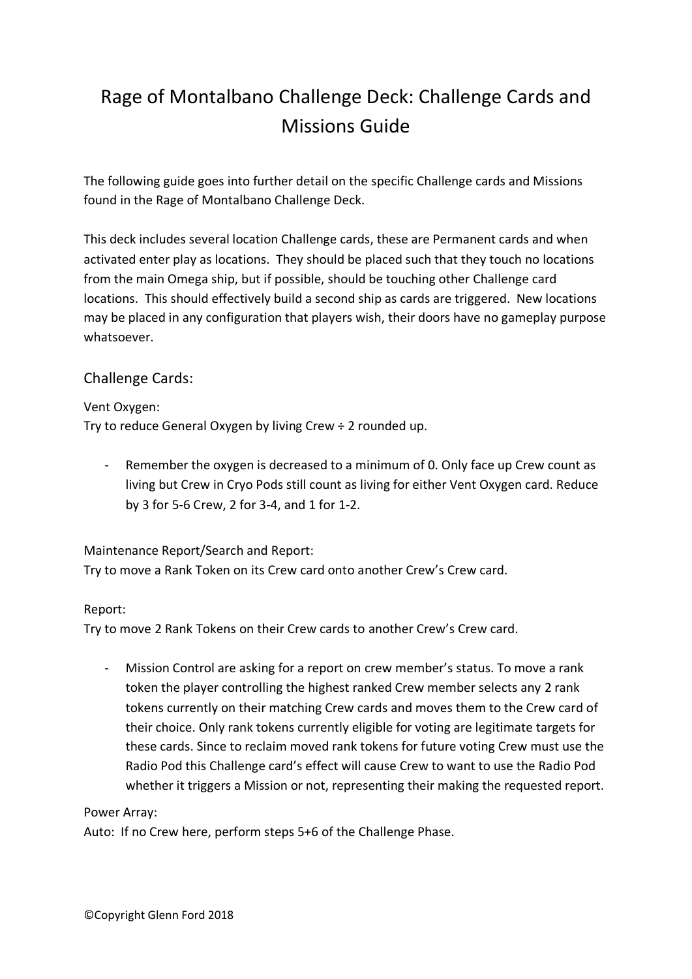# Rage of Montalbano Challenge Deck: Challenge Cards and Missions Guide

The following guide goes into further detail on the specific Challenge cards and Missions found in the Rage of Montalbano Challenge Deck.

This deck includes several location Challenge cards, these are Permanent cards and when activated enter play as locations. They should be placed such that they touch no locations from the main Omega ship, but if possible, should be touching other Challenge card locations. This should effectively build a second ship as cards are triggered. New locations may be placed in any configuration that players wish, their doors have no gameplay purpose whatsoever.

## Challenge Cards:

### Vent Oxygen:

Try to reduce General Oxygen by living Crew ÷ 2 rounded up.

- Remember the oxygen is decreased to a minimum of 0. Only face up Crew count as living but Crew in Cryo Pods still count as living for either Vent Oxygen card. Reduce by 3 for 5-6 Crew, 2 for 3-4, and 1 for 1-2.

### Maintenance Report/Search and Report:

Try to move a Rank Token on its Crew card onto another Crew's Crew card.

### Report:

Try to move 2 Rank Tokens on their Crew cards to another Crew's Crew card.

- Mission Control are asking for a report on crew member's status. To move a rank token the player controlling the highest ranked Crew member selects any 2 rank tokens currently on their matching Crew cards and moves them to the Crew card of their choice. Only rank tokens currently eligible for voting are legitimate targets for these cards. Since to reclaim moved rank tokens for future voting Crew must use the Radio Pod this Challenge card's effect will cause Crew to want to use the Radio Pod whether it triggers a Mission or not, representing their making the requested report.

#### Power Array:

Auto: If no Crew here, perform steps 5+6 of the Challenge Phase.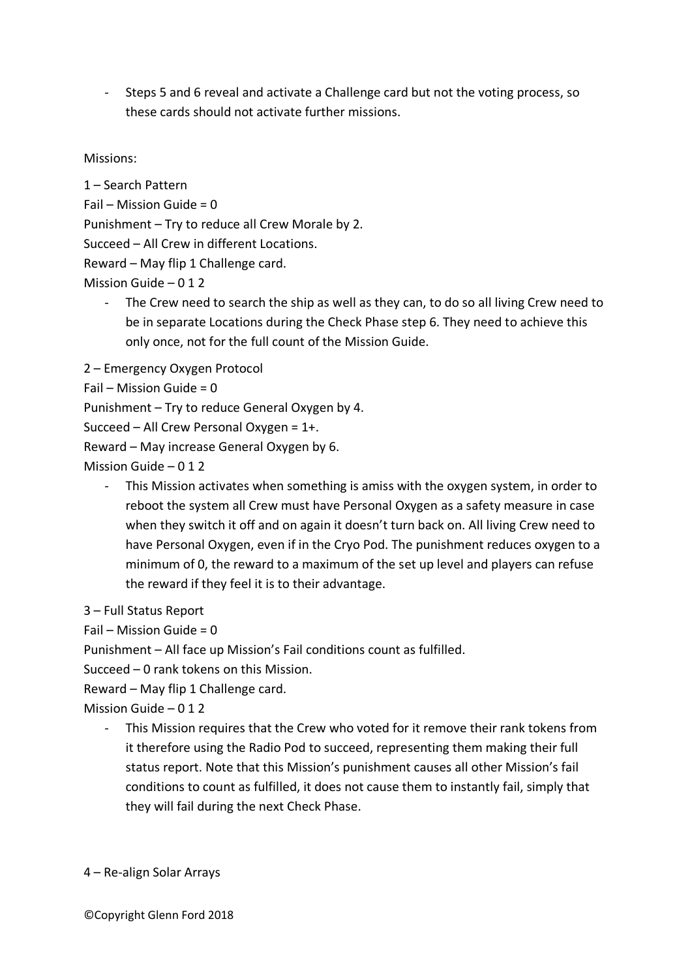- Steps 5 and 6 reveal and activate a Challenge card but not the voting process, so these cards should not activate further missions.

Missions:

1 – Search Pattern

Fail – Mission Guide =  $0$ 

Punishment – Try to reduce all Crew Morale by 2.

Succeed – All Crew in different Locations.

Reward – May flip 1 Challenge card.

Mission Guide – 0 1 2

- The Crew need to search the ship as well as they can, to do so all living Crew need to be in separate Locations during the Check Phase step 6. They need to achieve this only once, not for the full count of the Mission Guide.
- 2 Emergency Oxygen Protocol
- Fail Mission Guide = 0

Punishment – Try to reduce General Oxygen by 4.

Succeed – All Crew Personal Oxygen = 1+.

Reward – May increase General Oxygen by 6.

Mission Guide – 0 1 2

This Mission activates when something is amiss with the oxygen system, in order to reboot the system all Crew must have Personal Oxygen as a safety measure in case when they switch it off and on again it doesn't turn back on. All living Crew need to have Personal Oxygen, even if in the Cryo Pod. The punishment reduces oxygen to a minimum of 0, the reward to a maximum of the set up level and players can refuse the reward if they feel it is to their advantage.

3 – Full Status Report

Fail – Mission Guide =  $0$ 

Punishment – All face up Mission's Fail conditions count as fulfilled.

Succeed – 0 rank tokens on this Mission.

Reward – May flip 1 Challenge card.

Mission Guide – 0 1 2

This Mission requires that the Crew who voted for it remove their rank tokens from it therefore using the Radio Pod to succeed, representing them making their full status report. Note that this Mission's punishment causes all other Mission's fail conditions to count as fulfilled, it does not cause them to instantly fail, simply that they will fail during the next Check Phase.

4 – Re-align Solar Arrays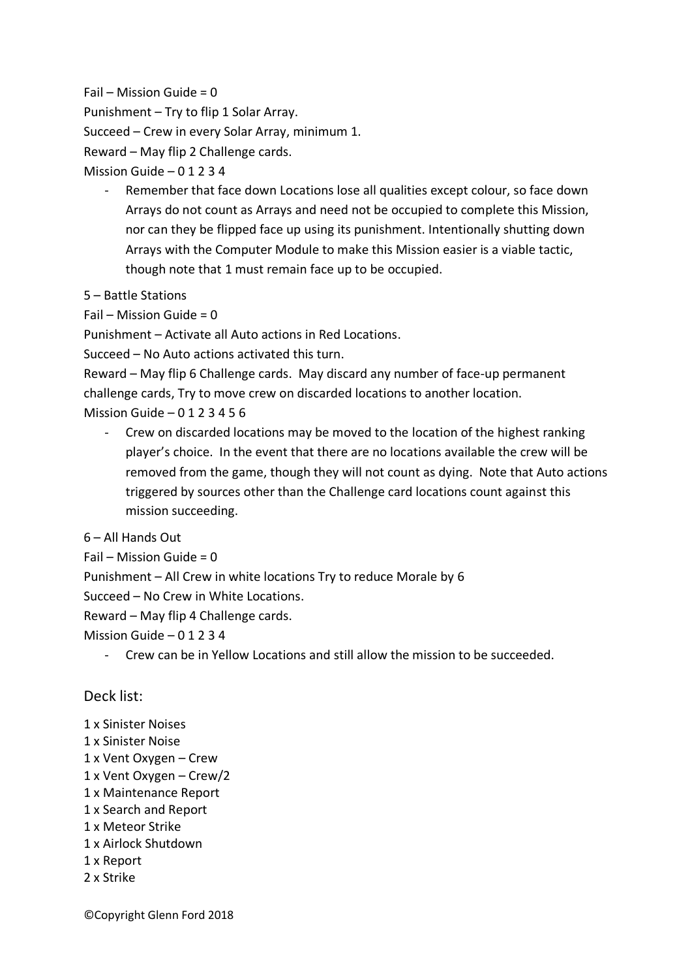$Fail$  – Mission Guide = 0

Punishment – Try to flip 1 Solar Array.

Succeed – Crew in every Solar Array, minimum 1.

Reward – May flip 2 Challenge cards.

Mission Guide  $-01234$ 

- Remember that face down Locations lose all qualities except colour, so face down Arrays do not count as Arrays and need not be occupied to complete this Mission, nor can they be flipped face up using its punishment. Intentionally shutting down Arrays with the Computer Module to make this Mission easier is a viable tactic, though note that 1 must remain face up to be occupied.
- 5 Battle Stations

Fail – Mission Guide =  $0$ 

Punishment – Activate all Auto actions in Red Locations.

Succeed – No Auto actions activated this turn.

Reward – May flip 6 Challenge cards. May discard any number of face-up permanent challenge cards, Try to move crew on discarded locations to another location.

Mission Guide  $-0123456$ 

Crew on discarded locations may be moved to the location of the highest ranking player's choice. In the event that there are no locations available the crew will be removed from the game, though they will not count as dying. Note that Auto actions triggered by sources other than the Challenge card locations count against this mission succeeding.

6 – All Hands Out

 $Fail$  – Mission Guide = 0

Punishment – All Crew in white locations Try to reduce Morale by 6

Succeed – No Crew in White Locations.

Reward – May flip 4 Challenge cards.

Mission Guide – 0 1 2 3 4

- Crew can be in Yellow Locations and still allow the mission to be succeeded.

### Deck list:

1 x Sinister Noises 1 x Sinister Noise 1 x Vent Oxygen – Crew 1 x Vent Oxygen – Crew/2 1 x Maintenance Report 1 x Search and Report 1 x Meteor Strike 1 x Airlock Shutdown 1 x Report 2 x Strike

©Copyright Glenn Ford 2018